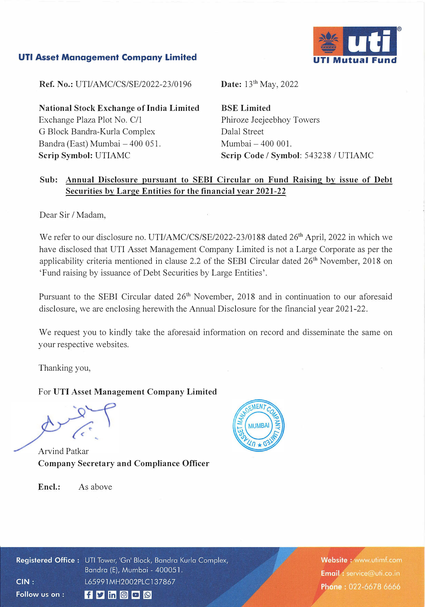## **UTI Asset Management Company Limited**



**Ref. No.:** UTI/AMC/CS/SE/2022-23/0196

**National Stock Exchange of India Limited**  Exchange Plaza Plot No. C/1 G Block Bandra-Kurla Complex Bandra (East) Mumbai - 400 051. **Scrip Symbol:** UTIAMC

**Date:** 13th May, 2022

**BSE Limited**  Phiroze Jeejeebhoy Towers Dalal Street Mumbai - 400 001. **Scrip Code** *I* **Symbol:** 543238 *I* UTIAMC

## **Sub: Annual Disclosure pursuant to SEBI Circular on Fund Raising by issue of Debt Securities by Large Entities for the financial year 2021-22**

Dear Sir / Madam,

We refer to our disclosure no. UTI/AMC/CS/SE/2022-23/0188 dated 26<sup>th</sup> April, 2022 in which we have disclosed that UTI Asset Management Company Limited is not a Large Corporate as per the applicability criteria mentioned in clause 2.2 of the SEBI Circular dated 26<sup>th</sup> November, 2018 on 'Fund raising by issuance of Debt Securities by Large Entities'.

Pursuant to the SEBI Circular dated 26<sup>th</sup> November, 2018 and in continuation to our aforesaid disclosure, we are enclosing herewith the Annual Disclosure for the financial year 2021-22.

We request you to kindly take the aforesaid information on record and disseminate the same on your respective websites.

Thanking you,

For **UTI Asset Management Company Limited** 

Arvind Patkar **Company Secretary and Compliance Officer** 



**Encl.:** As above

Registered Office: UTI Tower, 'Gn' Block, Bandra Kurla Complex, Bandra (E), Mumbai - 400051.  $CIN:$ L65991MH2002PLC137867 Follow us on :  $f$  y in  $\circ$   $\circ$ 

Website: www.utimf.com Email: service@uti.co.in Phone: 022-6678 6666